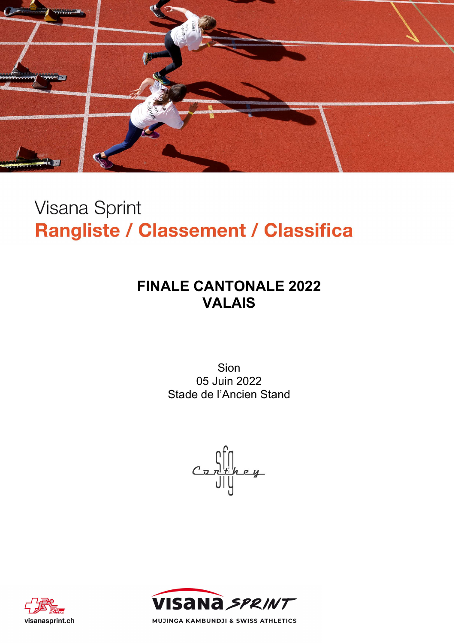

# **Visana Sprint** Rangliste / Classement / Classifica

# FINALE CANTONALE 2022 VALAIS

Sion 05 Juin 2022 Stade de l'Ancien Stand

 $\frac{\prod_{t\mid n=y}}{\prod_{t\mid y}}$ 





MUJINGA KAMBUNDJI & SWISS ATHLETICS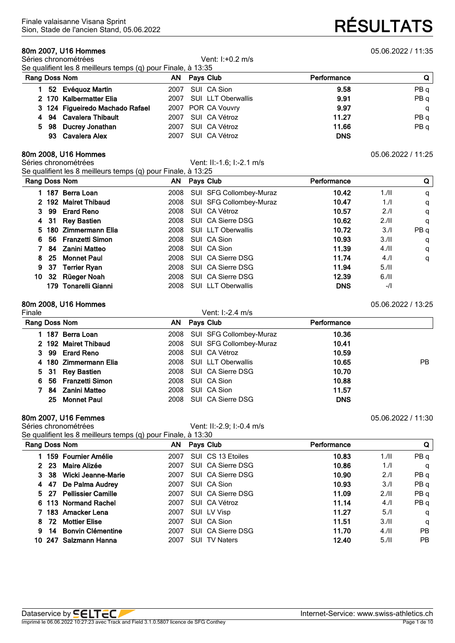**80m 2007, U16 Hommes** 05.06.2022 / 11:35<br>Séries chronométrées **11:35**<br>Vent: I:+0.2 m/s Séries chronométrées Se qualifient les 8 meilleurs temps (q) pour Finale, à 13:35

| Rang Doss Nom |                                 | AN Pays Club            | Performance | Q I  |
|---------------|---------------------------------|-------------------------|-------------|------|
|               | 1 52 Evéquoz Martin             | 2007 SUI CA Sion        | 9.58        | PB q |
|               | 2 170 Kalbermatter Elia         | 2007 SUI LLT Oberwallis | 9.91        | PB q |
|               | 3 124 Figueiredo Machado Rafael | 2007 POR CA Vouvry      | 9.97        | q    |
|               | 4 94 Cavalera Thibault          | 2007 SUI CA Vétroz      | 11.27       | PB q |
|               | 5 98 Ducrey Jonathan            | 2007 SUI CA Vétroz      | 11.66       | PB q |
|               | 93 Cavalera Alex                | 2007 SUI CA Vétroz      | <b>DNS</b>  |      |

## **80m 2008, U16 Hommes** 05.06.2022 / 11:25<br>Séries chronométrées **11:25**<br>Céries chronométrées

Vent: II:-1.6; I:-2.1 m/s Se qualifient les 8 meilleurs temps (q) pour Finale, à 13:25

|    |    | Rang Doss Nom        | ΑN   | Pays Club                 | Performance |      | Q    |
|----|----|----------------------|------|---------------------------|-------------|------|------|
|    |    | 187 Berra Loan       | 2008 | SUI SFG Collombey-Muraz   | 10.42       | 1.11 | q    |
|    |    | 2 192 Mairet Thibaud | 2008 | SUI SFG Collombey-Muraz   | 10.47       | 1.1  | q    |
| З. | 99 | <b>Erard Reno</b>    | 2008 | SUI CA Vétroz             | 10.57       | 2.1  | q    |
| 4  | 31 | <b>Rey Bastien</b>   | 2008 | SUI CA Sierre DSG         | 10.62       | 2.11 | q    |
| 5. |    | 180 Zimmermann Elia  | 2008 | <b>SUI LLT Oberwallis</b> | 10.72       | 3.1  | PB q |
| 6. |    | 56 Franzetti Simon   | 2008 | SUI CA Sion               | 10.93       | 3.11 | q    |
|    |    | 84 Zanini Matteo     | 2008 | SUI CA Sion               | 11.39       | 4.11 | q    |
| 8  | 25 | <b>Monnet Paul</b>   | 2008 | SUI CA Sierre DSG         | 11.74       | 4.1  | q    |
| 9  | 37 | <b>Terrier Ryan</b>  | 2008 | SUI CA Sierre DSG         | 11.94       | 5.11 |      |
| 10 |    | 32 Rüeger Noah       | 2008 | SUI CA Sierre DSG         | 12.39       | 6.11 |      |
|    |    | 179 Tonarelli Gianni | 2008 | SUI LLT Oberwallis        | <b>DNS</b>  | $-1$ |      |

## **80m 2008, U16 Hommes** 05.06.2022 / 13:25

|                       |      | Vent: I:-2.4 m/s |                                                                                                                                                                                                                 |     |
|-----------------------|------|------------------|-----------------------------------------------------------------------------------------------------------------------------------------------------------------------------------------------------------------|-----|
| Rang Doss Nom         |      |                  | Performance                                                                                                                                                                                                     |     |
| 187 Berra Loan        |      |                  | 10.36                                                                                                                                                                                                           |     |
| 2 192 Mairet Thibaud  |      |                  | 10.41                                                                                                                                                                                                           |     |
| 3 99 Erard Reno       |      |                  | 10.59                                                                                                                                                                                                           |     |
| 4 180 Zimmermann Elia |      |                  | 10.65                                                                                                                                                                                                           | PB. |
| 5 31 Rey Bastien      |      |                  | 10.70                                                                                                                                                                                                           |     |
| 6 56 Franzetti Simon  | 2008 |                  | 10.88                                                                                                                                                                                                           |     |
| 84 Zanini Matteo      | 2008 |                  | 11.57                                                                                                                                                                                                           |     |
| 25 Monnet Paul        |      |                  | <b>DNS</b>                                                                                                                                                                                                      |     |
|                       |      |                  | AN Pays Club<br>2008 SUI SFG Collombey-Muraz<br>2008 SUI SFG Collombey-Muraz<br>2008 SUI CA Vétroz<br>2008 SUI LLT Oberwallis<br>2008 SUI CA Sierre DSG<br>SUI CA Sion<br>SUI CA Sion<br>2008 SUI CA Sierre DSG |     |

**80m 2007, U16 Femmes** 05.06.2022 / 11:30<br>Séries chronométrées **11:30**<br>Céries chronométrées Vent: II:-2.9; I:-0.4 m/s Se qualifient les 8 meilleurs temps (q) pour Finale, à 13:30

|    | Rang Doss Nom |                           | ΑN   | Pays Club            | Performance |      |           |  |
|----|---------------|---------------------------|------|----------------------|-------------|------|-----------|--|
|    |               | 159 Fournier Amélie       | 2007 | SUI CS 13 Etoiles    | 10.83       | 1.11 | PB q      |  |
|    | 23            | Maire Alizée              | 2007 | SUI CA Sierre DSG    | 10.86       | 1.1  | q         |  |
|    | 38            | Wicki Jeanne-Marie        | 2007 | SUI CA Sierre DSG    | 10.90       | 2.1  | PB q      |  |
| 4  | -47           | De Palma Audrey           | 2007 | SUI CA Sion          | 10.93       | 3/1  | PB q      |  |
|    | 5 27          | <b>Pellissier Camille</b> | 2007 | SUI CA Sierre DSG    | 11.09       | 2.11 | PB q      |  |
|    |               | 6 113 Normand Rachel      | 2007 | SUI CA Vétroz        | 11.14       | 4.1  | PB q      |  |
|    |               | 183 Amacker Lena          | 2007 | SUI LV Visp          | 11.27       | 5.1  | q         |  |
| 8. | 72.           | <b>Mottier Elise</b>      | 2007 | SUI CA Sion          | 11.51       | 3.11 | q         |  |
| 9  | 14            | <b>Bonvin Clémentine</b>  | 2007 | SUI CA Sierre DSG    | 11.70       | 4.11 | <b>PB</b> |  |
|    |               | 10 247 Salzmann Hanna     | 2007 | <b>SUI TV Naters</b> | 12.40       | 5.11 | PB.       |  |

# Sion, Stade de l'ancien Stand, 05.06.2022 **RÉSULTATS**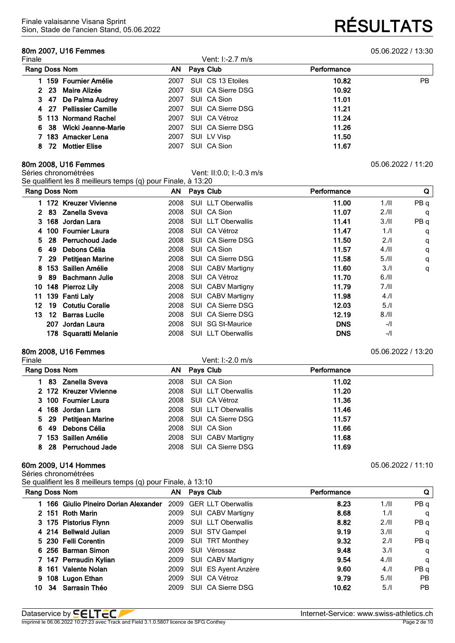## **80m 2007, U16 Femmes** 05.06.2022 / 13:30

Sion, Stade de l'ancien Stand, 05.06.2022 **RÉSULTATS**

| Finale |                              | Vent: I:-2.7 m/s          |             |           |
|--------|------------------------------|---------------------------|-------------|-----------|
|        | Rang Doss Nom                | Pays Club<br>AN.          | Performance |           |
|        | 159 Fournier Amélie          | SUI CS 13 Etoiles<br>2007 | 10.82       | <b>PB</b> |
|        | Maire Alizée<br>2 23         | SUI CA Sierre DSG<br>2007 | 10.92       |           |
|        | 3 47 De Palma Audrey         | SUI CA Sion<br>2007       | 11.01       |           |
|        | 4 27 Pellissier Camille      | SUI CA Sierre DSG<br>2007 | 11.21       |           |
|        | 5 113 Normand Rachel         | SUI CA Vétroz<br>2007     | 11.24       |           |
|        | 6 38 Wicki Jeanne-Marie      | SUI CA Sierre DSG<br>2007 | 11.26       |           |
|        | 7 183 Amacker Lena           | SUI LV Visp<br>2007       | 11.50       |           |
|        | <b>Mottier Elise</b><br>8 72 | SUI CA Sion<br>2007       | 11.67       |           |

**80m 2008, U16 Femmes** 05.06.2022 / 11:20<br>Séries chronométrées **11:20**<br>Céries chronométrées Vent: II:0.0; I:-0.3 m/s Se qualifient les 8 meilleurs temps (q) pour Finale, à 13:20

| Rang Doss Nom |     |                        | $\mathbf{r}$ . The state $\mathbf{r}$ | AN Pays Club              | Performance |      | $\mathbf Q$ |
|---------------|-----|------------------------|---------------------------------------|---------------------------|-------------|------|-------------|
|               |     | 1 172 Kreuzer Vivienne | 2008                                  | SUI LLT Oberwallis        | 11.00       | 1.11 | PB q        |
| 2.            |     | 83 Zanella Sveva       | 2008                                  | SUI CA Sion               | 11.07       | 2.11 | q           |
|               |     | 3 168 Jordan Lara      | 2008                                  | <b>SUI LLT Oberwallis</b> | 11.41       | 3/II | PBq         |
|               |     | 4 100 Fournier Laura   | 2008                                  | SUI CA Vétroz             | 11.47       | 1.1  | q           |
| 5.            |     | 28 Perruchoud Jade     | 2008                                  | SUI CA Sierre DSG         | 11.50       | 2.1  | q           |
| 6.            | -49 | Debons Célia           | 2008                                  | SUI CA Sion               | 11.57       | 4.11 | q           |
|               |     | 29 Petitjean Marine    | 2008                                  | SUI CA Sierre DSG         | 11.58       | 5.11 | q           |
| 8.            |     | 153 Saillen Amélie     | 2008                                  | SUI CABV Martigny         | 11.60       | 3.1  | q           |
| 9.            |     | 89 Bachmann Julie      | 2008                                  | SUI CA Vétroz             | 11.70       | 6.11 |             |
|               |     | 10 148 Pierroz Lily    |                                       | 2008 SUI CABV Martigny    | 11.79       | 7.11 |             |
| 11.           |     | 139 Fanti Lalv         | 2008                                  | <b>SUI CABV Martigny</b>  | 11.98       | 4.1  |             |
| 12.           |     | 19 Cotutiu Coralie     | 2008                                  | SUI CA Sierre DSG         | 12.03       | 5.1  |             |
| 13.           |     | 12 Barras Lucile       | 2008                                  | SUI CA Sierre DSG         | 12.19       | 8.11 |             |
|               |     | 207 Jordan Laura       | 2008                                  | SUI SG St-Maurice         | <b>DNS</b>  | $-1$ |             |
|               |     | 178 Squaratti Melanie  | 2008                                  | <b>SUI LLT Oberwallis</b> | <b>DNS</b>  | -/   |             |

## **80m 2008, U16 Femmes** 05.06.2022 / 13:20

| Finale                 | Vent: I:-2.0 m/s        |             |  |
|------------------------|-------------------------|-------------|--|
| Rang Doss Nom          | AN Pays Club            | Performance |  |
| 83 Zanella Sveva       | 2008 SUI CA Sion        | 11.02       |  |
| 2 172 Kreuzer Vivienne | 2008 SUI LLT Oberwallis | 11.20       |  |
| 3 100 Fournier Laura   | 2008 SUI CA Vétroz      | 11.36       |  |
| 4 168 Jordan Lara      | 2008 SUI LLT Oberwallis | 11.46       |  |
| 5 29 Petitjean Marine  | 2008 SUI CA Sierre DSG  | 11.57       |  |
| 6 49 Debons Célia      | 2008 SUI CA Sion        | 11.66       |  |
| 7 153 Saillen Amélie   | 2008 SUI CABV Martigny  | 11.68       |  |
| 8 28 Perruchoud Jade   | 2008 SUI CA Sierre DSG  | 11.69       |  |
|                        |                         |             |  |

#### **60m 2009, U14 Hommes** 05.06.2022 / 11:10

Séries chronométrées

Se qualifient les 8 meilleurs temps (q) pour Finale, à 13:10

|    | Rang Doss Nom |                                     |      | AN Pays Club              | Performance |      | Q         |
|----|---------------|-------------------------------------|------|---------------------------|-------------|------|-----------|
|    |               | 166 Giulio Pineiro Dorian Alexander |      | 2009 GER LLT Oberwallis   | 8.23        | 1.11 | PB q      |
|    |               | 2 151 Roth Marin                    | 2009 | SUI CABV Martigny         | 8.68        | 1.1  | q         |
|    |               | 3 175 Pistorius Flynn               | 2009 | <b>SUI LLT Oberwallis</b> | 8.82        | 2.11 | PB q      |
|    |               | 4 214 Bellwald Julian               |      | 2009 SUI STV Gampel       | 9.19        | 3.11 | q         |
|    |               | 5 230 Felli Corentin                | 2009 | SUI TRT Monthey           | 9.32        | 2.11 | PB q      |
|    |               | 6 256 Barman Simon                  | 2009 | SUI Vérossaz              | 9.48        | 3/1  | q         |
|    |               | 7 147 Perraudin Kylian              | 2009 | SUI CABV Martigny         | 9.54        | 4.11 | q         |
|    |               | 8 161 Valente Nolan                 | 2009 | SUI ES Ayent Anzère       | 9.60        | 4.1  | PB q      |
|    |               | 9 108 Lugon Ethan                   | 2009 | SUI CA Vétroz             | 9.79        | 5.11 | <b>PB</b> |
| 10 |               | 34 Sarrasin Théo                    | 2009 | SUI CA Sierre DSG         | 10.62       | 5.1  | <b>PB</b> |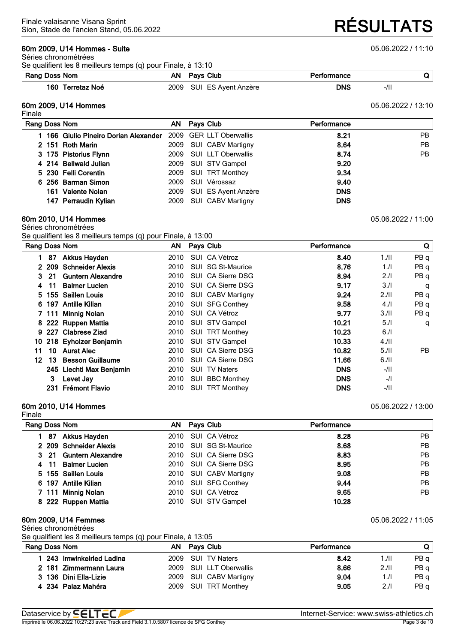### **60m 2009, U14 Hommes - Suite** 05.06.2022 / 11:10

Séries chronométrées Se qualifient les 8 meilleurs temps (q) pour Finale, à 13:10

#### **Rang** Doss Nom **AN AN** Pays Club **Performance Q**

**Terretaz Noé** 2009 SUI ES Ayent Anzère **DNS** -/II

#### **60m 2009, U14 Hommes** 05.06.2022 / 13:10

Fin

| male |                                                             |                          |             |           |
|------|-------------------------------------------------------------|--------------------------|-------------|-----------|
|      | <b>Rang Doss Nom</b>                                        | AN Pays Club             | Performance |           |
|      | 166 Giulio Pineiro Dorian Alexander 2009 GER LLT Oberwallis |                          | 8.21        | <b>PB</b> |
|      | 2 151 Roth Marin                                            | 2009 SUI CABV Martigny   | 8.64        | <b>PB</b> |
|      | 3 175 Pistorius Flynn                                       | 2009 SUI LLT Oberwallis  | 8.74        | PB        |
|      | 4 214 Bellwald Julian                                       | 2009 SUI STV Gampel      | 9.20        |           |
|      | 5 230 Felli Corentin                                        | 2009 SUI TRT Monthey     | 9.34        |           |
|      | 6 256 Barman Simon                                          | 2009 SUI Vérossaz        | 9.40        |           |
|      | 161 Valente Nolan                                           | 2009 SUI ES Ayent Anzère | <b>DNS</b>  |           |
|      | 147 Perraudin Kylian                                        | 2009 SUI CABV Martigny   | <b>DNS</b>  |           |

#### **60m 2010, U14 Hommes** 05.06.2022 / 11:00 Séries chronométrées

Se qualifient les 8 meilleurs temps (q) pour Finale, à 13:00

| Rang Doss Nom |         |                          | ΑN   | Pays Club  |                        | Performance |        | Q               |
|---------------|---------|--------------------------|------|------------|------------------------|-------------|--------|-----------------|
| 1.            | 87      | <b>Akkus Hayden</b>      | 2010 |            | SUI CA Vétroz          | 8.40        | 1.11   | PB q            |
|               | 2 2 0 9 | <b>Schneider Alexis</b>  | 2010 |            | SUI SG St-Maurice      | 8.76        | 1.1    | PB <sub>q</sub> |
|               | 3 21    | <b>Guntern Alexandre</b> | 2010 |            | SUI CA Sierre DSG      | 8.94        | 2.1    | PB q            |
| 4             | 11      | <b>Balmer Lucien</b>     | 2010 |            | SUI CA Sierre DSG      | 9.17        | 3.1    | q               |
|               |         | 5 155 Saillen Louis      | 2010 |            | SUI CABV Martigny      | 9.24        | 2.11   | PB <sub>q</sub> |
|               |         | 6 197 Antille Kilian     | 2010 |            | <b>SUI SFG Conthey</b> | 9.58        | 4.1    | PB <sub>q</sub> |
|               | 7 111   | <b>Minnig Nolan</b>      | 2010 |            | SUI CA Vétroz          | 9.77        | 3.11   | PB q            |
|               |         | 8 222 Ruppen Mattia      | 2010 |            | SUI STV Gampel         | 10.21       | 5.1    | q               |
|               |         | 9 227 Clabrese Ziad      | 2010 |            | <b>SUI TRT Monthey</b> | 10.23       | 6.1    |                 |
|               |         | 10 218 Eyholzer Benjamin | 2010 |            | SUI STV Gampel         | 10.33       | 4.11   |                 |
| 11            | 10      | <b>Aurat Alec</b>        | 2010 |            | SUI CA Sierre DSG      | 10.82       | 5.11   | PB.             |
| 12            | 13      | <b>Besson Guillaume</b>  | 2010 |            | SUI CA Sierre DSG      | 11.66       | 6.11   |                 |
|               |         | 245 Liechti Max Benjamin | 2010 |            | <b>SUI TV Naters</b>   | <b>DNS</b>  | -/II   |                 |
|               | 3       | Levet Jay                | 2010 | <b>SUI</b> | <b>BBC Monthey</b>     | <b>DNS</b>  | $-1$   |                 |
|               |         | 231 Frémont Flavio       | 2010 |            | <b>SUI TRT Monthey</b> | <b>DNS</b>  | $-111$ |                 |

#### **60m 2010, U14 Hommes** 05.06.2022 / 13:00

Finale **Rang Doss Nom AN Pays Club Performance 87 Akkus Hayden** 2010 SUI CA Vétroz **8.28** PB **209 Schneider Alexis** 2010 SUI SG St-Maurice **8.68** PB **21 Guntern Alexandre** 2010 SUI CA Sierre DSG **8.83** PB **11 Balmer Lucien** 2010 SUI CA Sierre DSG **8.95** PB **155 Saillen Louis** 2010 SUI CABV Martigny **9.08** PB **197 Antille Kilian** 2010 SUI SFG Conthey **9.44** PB **111 Minnig Nolan** 2010 SUI CA Vétroz **9.65** PB **222 Ruppen Mattia** 2010 SUI STV Gampel **10.28**

#### **60m 2009, U14 Femmes** 05.06.2022 / 11:05

Séries chronométrées

Se qualifient les 8 meilleurs temps (q) pour Finale, à 13:05

| Rang Doss Nom           | AN Pays Club | Performance | Q                                                                                               |
|-------------------------|--------------|-------------|-------------------------------------------------------------------------------------------------|
| 243 Imwinkelried Ladina |              | 8.42        | PB a<br>1./II                                                                                   |
| 2 181 Zimmermann Laura  |              | 8.66        | PB q<br>2.11                                                                                    |
| 3 136 Dini Ella-Lizie   |              | 9.04        | PB q<br>1.1                                                                                     |
| 4 234 Palaz Mahéra      |              | 9.05        | 2.1<br>PB <sub>d</sub>                                                                          |
|                         |              |             | 2009 SUI TV Naters<br>2009 SUI LLT Oberwallis<br>2009 SUI CABV Martigny<br>2009 SUI TRT Monthey |

Dataservice by **SELTEC**<br>
Internet-Service: www.swiss-athletics.ch<br>
Internet-Service: www.swiss-athletics.ch<br>
Page 3 de 10 Imprimé le 06.06.2022 10:27:23 avec Track and Field 3.1.0.5807 licence de SFG Conthey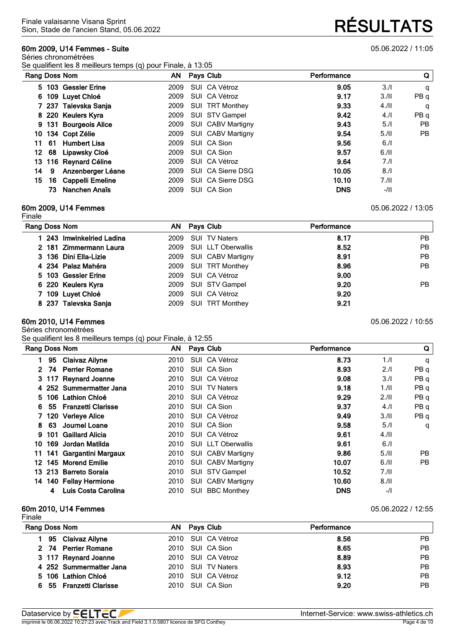#### **60m 2009, U14 Femmes - Suite** 05.06.2022 / 11:05

Séries chronométrées Se qualifient les 8 meilleurs temps (q) pour Finale, à 13:05

|    |     | Rang Doss Nom         |      | AN Pays Club           | Performance |       | Q         |
|----|-----|-----------------------|------|------------------------|-------------|-------|-----------|
|    |     | 5 103 Gessler Erine   | 2009 | SUI CA Vétroz          | 9.05        | 3.1   | q         |
|    |     | 6 109 Luyet Chloé     | 2009 | SUI CA Vétroz          | 9.17        | 3.11  | PB q      |
|    |     | 7 237 Talevska Sanja  | 2009 | <b>SUI TRT Monthey</b> | 9.33        | 4.11  | q         |
|    |     | 8 220 Keulers Kyra    |      | 2009 SUI STV Gampel    | 9.42        | 4.1   | PB q      |
|    |     | 9 131 Bourgeois Alice |      | 2009 SUI CABV Martigny | 9.43        | 5.1   | PB.       |
| 10 |     | 134 Copt Zélie        |      | 2009 SUI CABV Martigny | 9.54        | 5.11  | <b>PB</b> |
| 11 |     | 61 Humbert Lisa       | 2009 | SUI CA Sion            | 9.56        | 6.1   |           |
| 12 |     | 68 Lipawsky Cloé      | 2009 | SUI CA Sion            | 9.57        | 6.11  |           |
| 13 |     | 116 Reynard Céline    | 2009 | SUI CA Vétroz          | 9.64        | 7.1   |           |
| 14 | 9   | Anzenberger Léane     |      | 2009 SUI CA Sierre DSG | 10.05       | 8.1   |           |
| 15 |     | 16 Cappelli Emeline   | 2009 | SUI CA Sierre DSG      | 10.10       | 7.11  |           |
|    | 73. | Nanchen Anaïs         | 2009 | SUI CA Sion            | <b>DNS</b>  | $-11$ |           |

#### **60m 2009, U14 Femmes** 05.06.2022 / 13:05

Finale

| Rang Doss Nom             | AN Pays Club            | Performance |     |
|---------------------------|-------------------------|-------------|-----|
| 1 243 Imwinkelried Ladina | 2009 SUI TV Naters      | 8.17        | PB. |
| 2 181 Zimmermann Laura    | 2009 SUI LLT Oberwallis | 8.52        | PB. |
| 3 136 Dini Ella-Lizie     | 2009 SUI CABV Martigny  | 8.91        | PB. |
| 4 234 Palaz Mahéra        | 2009 SUI TRT Monthey    | 8.96        | PB. |
| 5 103 Gessler Erine       | 2009 SUI CA Vétroz      | 9.00        |     |
| 6 220 Keulers Kyra        | 2009 SUI STV Gampel     | 9.20        | PB. |
| 7 109 Luyet Chloé         | 2009 SUI CA Vétroz      | 9.20        |     |
| 8 237 Talevska Sanja      | 2009 SUI TRT Monthey    | 9.21        |     |

#### **60m 2010, U14 Femmes** 05.06.2022 / 10:55

Séries chronométrées

Se qualifient les 8 meilleurs temps (q) pour Finale, à 12:55

| Rang Doss Nom  |    |                         | AN . | Pays Club                 | Performance |       | Q               |
|----------------|----|-------------------------|------|---------------------------|-------------|-------|-----------------|
| 1.             | 95 | Claivaz Ailyne          | 2010 | SUI CA Vétroz             | 8.73        | 1.1   | q               |
| $\mathbf{2}^-$ | 74 | <b>Perrier Romane</b>   | 2010 | SUI CA Sion               | 8.93        | 2.1   | PB q            |
|                |    | 3 117 Reynard Joanne    | 2010 | SUI CA Vétroz             | 9.08        | 3/1   | PB q            |
|                |    | 4 252 Summermatter Jana | 2010 | <b>SUI TV Naters</b>      | 9.18        | 1./II | PB <sub>q</sub> |
| 5.             |    | 106 Lathion Chloé       | 2010 | SUI CA Vétroz             | 9.29        | 2.11  | PB <sub>q</sub> |
| 6              |    | 55 Franzetti Clarisse   | 2010 | SUI CA Sion               | 9.37        | 4.1   | PB <sub>q</sub> |
|                |    | 7 120 Verleye Alice     | 2010 | SUI CA Vétroz             | 9.49        | 3.11  | PB q            |
| 8.             | 63 | Journel Loane           | 2010 | SUI CA Sion               | 9.58        | 5.1   | q               |
| 9.             |    | 101 Gaillard Alicia     | 2010 | SUI CA Vétroz             | 9.61        | 4.11  |                 |
| 10             |    | 169 Jordan Matilda      | 2010 | <b>SUI LLT Oberwallis</b> | 9.61        | 6.1   |                 |
| 11             |    | 141 Gargantini Margaux  | 2010 | SUI CABV Martigny         | 9.86        | 5.11  | <b>PB</b>       |
| 12.            |    | 145 Morend Emilie       | 2010 | <b>SUI CABV Martigny</b>  | 10.07       | 6.11  | PB.             |
|                |    | 13 213 Barreto Soraia   | 2010 | SUI STV Gampel            | 10.52       | 7.11  |                 |
| 14             |    | 140 Fellay Hermione     | 2010 | <b>SUI CABV Martigny</b>  | 10.60       | 8.11  |                 |
|                | 4  | Luis Costa Carolina     | 2010 | <b>SUI BBC Monthey</b>    | <b>DNS</b>  | $-1$  |                 |

#### **60m 2010, U14 Femmes** 05.06.2022 / 12:55

| Finale        |                         |     |                    |             |     |
|---------------|-------------------------|-----|--------------------|-------------|-----|
| Rang Doss Nom |                         | AN. | <b>Pays Club</b>   | Performance |     |
|               | 95 Claivaz Ailyne       |     | 2010 SUI CA Vétroz | 8.56        | PB. |
|               | 2 74 Perrier Romane     |     | 2010 SUI CA Sion   | 8.65        | PB. |
|               | 3 117 Reynard Joanne    |     | 2010 SUI CA Vétroz | 8.89        | PB. |
|               | 4 252 Summermatter Jana |     | 2010 SUI TV Naters | 8.93        | PB. |
|               | 5 106 Lathion Chloé     |     | 2010 SUI CA Vétroz | 9.12        | PB. |
|               | 6 55 Franzetti Clarisse |     | 2010 SUI CA Sion   | 9.20        | PB. |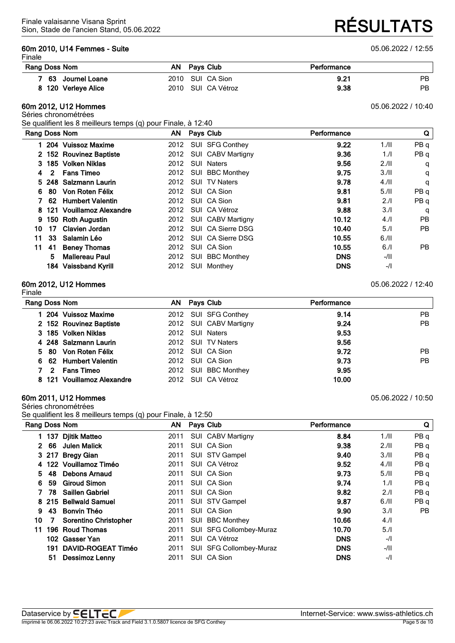#### **60m 2010, U14 Femmes - Suite** 05.06.2022 / 12:55

Sion, Stade de l'ancien Stand, 05.06.2022 **RÉSULTATS**

| <b>Rang Doss Nom</b> | AN Pays Club       | Performance |     |
|----------------------|--------------------|-------------|-----|
| 63 Journel Loane     | 2010 SUI CA Sion   | 9.21        | PB. |
| 8 120 Verleye Alice  | 2010 SUI CA Vétroz | 9.38        | PB  |

#### **60m 2012, U12 Hommes** 05.06.2022 / 10:40

#### Séries chronométrées

Se qualifient les 8 meilleurs temps (q) pour Finale, à 12:40

| Rang Doss Nom |              |                            |      | AN Pays Club |                          | Performance |        | Q         |
|---------------|--------------|----------------------------|------|--------------|--------------------------|-------------|--------|-----------|
|               |              | 1 204 Vuissoz Maxime       | 2012 |              | SUI SFG Conthey          | 9.22        | 1.11   | PBq       |
|               |              | 2 152 Rouvinez Baptiste    | 2012 |              | <b>SUI CABV Martigny</b> | 9.36        | 1.1    | PBq       |
|               |              | 3 185 Volken Niklas        | 2012 |              | <b>SUI Naters</b>        | 9.56        | 2.11   | q         |
| 4             | $\mathbf{2}$ | <b>Fans Timeo</b>          | 2012 |              | SUI BBC Monthey          | 9.75        | 3.11   | q         |
|               |              | 5 248 Salzmann Laurin      | 2012 |              | <b>SUI TV Naters</b>     | 9.78        | 4.11   | q         |
| 6.            | 80           | Von Roten Félix            | 2012 |              | SUI CA Sion              | 9.81        | 5.11   | PB q      |
|               | 62           | <b>Humbert Valentin</b>    | 2012 |              | SUI CA Sion              | 9.81        | 2.1    | PB q      |
|               |              | 8 121 Vouillamoz Alexandre | 2012 |              | SUI CA Vétroz            | 9.88        | 3.1    | q         |
| 9             |              | 150 Roth Augustin          | 2012 |              | <b>SUI CABV Martigny</b> | 10.12       | 4.1    | <b>PB</b> |
| 10            | 17           | Clavien Jordan             | 2012 |              | SUI CA Sierre DSG        | 10.40       | 5.1    | <b>PB</b> |
| 11            | 33           | Salamin Léo                | 2012 |              | SUI CA Sierre DSG        | 10.55       | 6.11   |           |
| 11            | -41          | <b>Beney Thomas</b>        | 2012 |              | SUI CA Sion              | 10.55       | 6.1    | <b>PB</b> |
|               | 5            | Mallereau Paul             | 2012 | SUI          | <b>BBC Monthey</b>       | <b>DNS</b>  | -/11   |           |
|               |              | 184 Vaissband Kyrill       | 2012 | SUI          | Monthey                  | <b>DNS</b>  | $-$ /l |           |

#### **60m 2012, U12 Hommes** 05.06.2022 / 12:40 Finale

| Rang Doss Nom  |                            | AN.  | Pays Club              | Performance |           |
|----------------|----------------------------|------|------------------------|-------------|-----------|
|                | 1 204 Vuissoz Maxime       |      | 2012 SUI SFG Conthey   | 9.14        | PB.       |
|                | 2 152 Rouvinez Baptiste    |      | 2012 SUI CABV Martigny | 9.24        | <b>PB</b> |
|                | 3 185 Volken Niklas        | 2012 | <b>SUI Naters</b>      | 9.53        |           |
|                | 4 248 Salzmann Laurin      |      | 2012 SUI TV Naters     | 9.56        |           |
|                | 5 80 Von Roten Félix       |      | 2012 SUI CA Sion       | 9.72        | <b>PB</b> |
|                | 6 62 Humbert Valentin      |      | 2012 SUI CA Sion       | 9.73        | <b>PB</b> |
| $\overline{2}$ | <b>Fans Timeo</b>          | 2012 | SUI BBC Monthey        | 9.95        |           |
|                | 8 121 Vouillamoz Alexandre | 2012 | SUI CA Vétroz          | 10.00       |           |

#### **60m 2011, U12 Hommes** 05.06.2022 / 10:50

Séries chronométrées

Se qualifient les 8 meilleurs temps (q) pour Finale, à 12:50

|             |       | Rang Doss Nom                | AN   | <b>Pays Club</b>          | Performance |      | Q               |
|-------------|-------|------------------------------|------|---------------------------|-------------|------|-----------------|
|             | 137   | <b>Djitik Matteo</b>         | 2011 | SUI CABV Martigny         | 8.84        | 1.11 | PB <sub>q</sub> |
| $2^{\circ}$ | 66    | <b>Julen Malick</b>          | 2011 | SUI CA Sion               | 9.38        | 2.11 | PB <sub>q</sub> |
|             | 3 217 | <b>Bregy Gian</b>            | 2011 | SUI STV Gampel            | 9.40        | 3.11 | PB q            |
|             |       | 4 122 Vouillamoz Timéo       | 2011 | SUI CA Vétroz             | 9.52        | 4.11 | PB <sub>q</sub> |
| 5.          | 48    | <b>Debons Arnaud</b>         | 2011 | SUI CA Sion               | 9.73        | 5.11 | PB <sub>q</sub> |
| 6           | 59    | <b>Giroud Simon</b>          | 2011 | SUI CA Sion               | 9.74        | 1.1  | PB <sub>q</sub> |
|             | 78    | <b>Saillen Gabriel</b>       | 2011 | SUI CA Sion               | 9.82        | 2.1  | PB q            |
| 8           | 215   | <b>Bellwald Samuel</b>       | 2011 | SUI STV Gampel            | 9.87        | 6.11 | PB q            |
| 9           | 43    | <b>Bonvin Théo</b>           | 2011 | SUI CA Sion               | 9.90        | 3.1  | <b>PB</b>       |
| 10          |       | <b>Sorentino Christopher</b> | 2011 | <b>BBC Monthey</b><br>SUI | 10.66       | 4.1  |                 |
| 11          | 196   | <b>Roud Thomas</b>           | 2011 | SUI SFG Collombey-Muraz   | 10.70       | 5.1  |                 |
|             | 102   | Gasser Yan                   | 2011 | CA Vétroz<br>SUI          | <b>DNS</b>  | $-1$ |                 |
|             | 191   | <b>DAVID-ROGEAT Timéo</b>    | 2011 | SUI SFG Collombey-Muraz   | <b>DNS</b>  | -/II |                 |
|             | 51    | Dessimoz Lenny               | 2011 | SUI CA Sion               | <b>DNS</b>  | $-1$ |                 |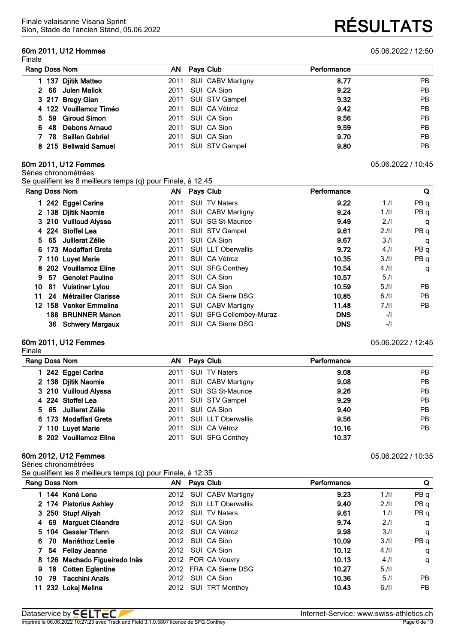## **60m 2011, U12 Hommes** 05.06.2022 / 12:50

| Rang Doss Nom          | AN.  | Pays Club         | Performance |           |
|------------------------|------|-------------------|-------------|-----------|
| 137 Djitik Matteo      | 2011 | SUI CABV Martigny | 8.77        | <b>PB</b> |
| 2 66 Julen Malick      | 2011 | SUI CA Sion       | 9.22        | <b>PB</b> |
| 3 217 Bregy Gian       | 2011 | SUI STV Gampel    | 9.32        | <b>PB</b> |
| 4 122 Vouillamoz Timéo | 2011 | SUI CA Vétroz     | 9.42        | <b>PB</b> |
| 5 59 Giroud Simon      | 2011 | SUI CA Sion       | 9.56        | <b>PB</b> |
| 48 Debons Arnaud<br>6. | 2011 | SUI CA Sion       | 9.59        | <b>PB</b> |
| 78 Saillen Gabriel     | 2011 | SUI CA Sion       | 9.70        | <b>PB</b> |
| 8 215 Bellwald Samuel  | 2011 | SUI STV Gampel    | 9.80        | <b>PB</b> |

#### **60m 2011, U12 Femmes** 05.06.2022 / 10:45

Séries chronométrées

Se qualifient les 8 meilleurs temps (q) pour Finale, à 12:45

|     |     | Rang Doss Nom              | AN   | Pays Club                 | Performance |      | Q               |
|-----|-----|----------------------------|------|---------------------------|-------------|------|-----------------|
|     |     | 242 Eggel Carina           | 2011 | SUI TV Naters             | 9.22        | 1.1  | PB q            |
|     |     | 2 138 Djitik Naomie        | 2011 | <b>SUI CABV Martigny</b>  | 9.24        | 1.11 | PB <sub>q</sub> |
|     |     | 3 210 Vuilloud Alyssa      | 2011 | SUI SG St-Maurice         | 9.49        | 2.1  | q               |
|     |     | 4 224 Stoffel Lea          | 2011 | SUI STV Gampel            | 9.61        | 2.11 | PB <sub>q</sub> |
| 5.  | -65 | Juillerat Zélie            | 2011 | SUI CA Sion               | 9.67        | 3.1  | q               |
|     |     | 6 173 Modaffari Greta      | 2011 | <b>SUI LLT Oberwallis</b> | 9.72        | 4.1  | PB <sub>q</sub> |
|     |     | 7 110 Luyet Marie          | 2011 | SUI CA Vétroz             | 10.35       | 3.11 | PB <sub>q</sub> |
|     |     | 8 202 Vouillamoz Eline     | 2011 | <b>SUI SFG Conthey</b>    | 10.54       | 4.11 | q               |
| 9   | 57  | <b>Genolet Pauline</b>     | 2011 | SUI CA Sion               | 10.57       | 5.1  |                 |
| 10  | 81  | <b>Vuistiner Lylou</b>     | 2011 | SUI CA Sion               | 10.59       | 5.11 | <b>PB</b>       |
| 11. | 24  | <b>Métrailler Clarisse</b> | 2011 | SUI CA Sierre DSG         | 10.85       | 6.11 | <b>PB</b>       |
| 12. |     | 158 Venker Emmeline        | 2011 | <b>SUI CABV Martigny</b>  | 11.48       | 7.11 | PB.             |
|     |     | 188 BRUNNER Manon          | 2011 | SUI SFG Collombey-Muraz   | <b>DNS</b>  | $-I$ |                 |
|     | 36  | <b>Schwery Margaux</b>     | 2011 | SUI CA Sierre DSG         | <b>DNS</b>  | $-1$ |                 |

#### **60m 2011, U12 Femmes** 05.06.2022 / 12:45

Finale

| Rang Doss Nom          | AN Pays Club                 | Performance |           |
|------------------------|------------------------------|-------------|-----------|
| 242 Eggel Carina       | <b>SUI TV Naters</b><br>2011 | 9.08        | <b>PB</b> |
| 2 138 Djitik Naomie    | 2011 SUI CABV Martigny       | 9.08        | PB        |
| 3 210 Vuilloud Alyssa  | 2011 SUI SG St-Maurice       | 9.26        | PB        |
| 4 224 Stoffel Lea      | 2011 SUI STV Gampel          | 9.29        | PB        |
| 5 65 Juillerat Zélie   | 2011 SUI CA Sion             | 9.40        | PB        |
| 6 173 Modaffari Greta  | 2011 SUI LLT Oberwallis      | 9.56        | PB        |
| 7 110 Luyet Marie      | SUI CA Vétroz<br>2011        | 10.16       | <b>PB</b> |
| 8 202 Vouillamoz Eline | 2011 SUI SFG Conthey         | 10.37       |           |

#### **60m 2012, U12 Femmes** 05.06.2022 / 10:35

Séries chronométrées

Se qualifient les 8 meilleurs temps (q) pour Finale, à 12:35

|    | Rang Doss Nom                 | AN Pays Club            | Performance |      | Q    |
|----|-------------------------------|-------------------------|-------------|------|------|
|    | 1 144 Koné Lena               | 2012 SUI CABV Martigny  | 9.23        | 1.11 | PB q |
|    | 2 174 Pistorius Ashley        | 2012 SUI LLT Oberwallis | 9.40        | 2.11 | PB q |
|    | 3 250 Stupf Aliyah            | 2012 SUI TV Naters      | 9.61        | 1.1  | PB q |
|    | 4 69 Marguet Cléandre         | 2012 SUI CA Sion        | 9.74        | 2.1  | q    |
|    | 5 104 Gessler Tifenn          | 2012 SUI CA Vétroz      | 9.98        | 3.1  | q    |
|    | 70 Mariéthoz Leslie           | 2012 SUI CA Sion        | 10.09       | 3.11 | PB q |
|    | 54 Fellay Jeanne              | 2012 SUI CA Sion        | 10.12       | 4.11 | q    |
|    | 8 126 Machado Figueiredo Inès | 2012 POR CA Vouvry      | 10.13       | 4.1  | q    |
| 9. | 18 Cotten Eglantine           | 2012 FRA CA Sierre DSG  | 10.27       | 5.11 |      |
| 10 | 79 Tacchini Anaïs             | 2012 SUI CA Sion        | 10.36       | 5.1  | PB.  |
| 11 | 232 Lokaj Melina              | 2012 SUI TRT Monthey    | 10.43       | 6.11 | PB.  |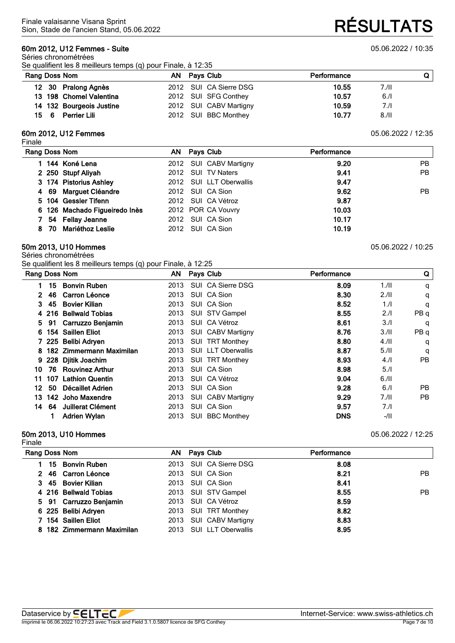#### **60m 2012, U12 Femmes - Suite** 05.06.2022 / 10:35

Séries chronométrées Se qualifient les 8 meilleurs temps (q) pour Finale, à 12:35

# Sion, Stade de l'ancien Stand, 05.06.2022 **RÉSULTATS**

|      | Rang Doss Nom            | AN Pays Club           | Performance |       |
|------|--------------------------|------------------------|-------------|-------|
|      | 12 30 Pralong Agnès      | 2012 SUI CA Sierre DSG | 10.55       | 7./II |
|      | 13 198 Chomel Valentina  | 2012 SUI SFG Conthey   | 10.57       | 6.1   |
|      | 14 132 Bourgeois Justine | 2012 SUI CABV Martigny | 10.59       | 7.1   |
| 15 6 | Perrier Lili             | 2012 SUI BBC Monthey   | 10.77       | 8.11  |

#### **60m 2012, U12 Femmes** 05.06.2022 / 12:35

Finale

| PB.<br><b>PB</b> |
|------------------|
|                  |
|                  |
|                  |
| PB.              |
|                  |
|                  |
|                  |
|                  |
|                  |

#### **50m 2013, U10 Hommes** 05.06.2022 / 10:25

Séries chronométrées Se qualifient les 8 meilleurs temps (q) pour Finale, à 12:25

| Rang Doss Nom |     |                          | ΑN   |            | Pays Club                | Performance |       | Q               |
|---------------|-----|--------------------------|------|------------|--------------------------|-------------|-------|-----------------|
|               | 15  | <b>Bonvin Ruben</b>      | 2013 |            | SUI CA Sierre DSG        | 8.09        | 1.11  | q               |
| 2             | 46  | Carron Léonce            | 2013 |            | SUI CA Sion              | 8.30        | 2.11  | q               |
| 3.            | 45  | <b>Bovier Kilian</b>     | 2013 |            | SUI CA Sion              | 8.52        | 1.1   | q               |
| 4             | 216 | <b>Bellwald Tobias</b>   | 2013 |            | SUI STV Gampel           | 8.55        | 2.1   | PB q            |
| 5.            | 91  | Carruzzo Benjamin        | 2013 |            | SUI CA Vétroz            | 8.61        | 3.1   | q               |
| 6             |     | 154 Saillen Eliot        | 2013 |            | <b>SUI CABV Martigny</b> | 8.76        | 3.11  | PB <sub>q</sub> |
|               |     | 7 225 Belibi Adryen      | 2013 |            | SUI TRT Monthey          | 8.80        | 4.11  | q               |
|               |     | 182 Zimmermann Maximilan | 2013 |            | SUI LLT Oberwallis       | 8.87        | 5.11  | q               |
| 9             |     | 228 Djitik Joachim       | 2013 |            | SUI TRT Monthey          | 8.93        | 4.1   | <b>PB</b>       |
| 10            | 76  | <b>Rouvinez Arthur</b>   | 2013 |            | SUI CA Sion              | 8.98        | 5.1   |                 |
| 11            | 107 | <b>Lathion Quentin</b>   | 2013 |            | SUI CA Vétroz            | 9.04        | 6.11  |                 |
| 12.           | 50  | Décaillet Adrien         | 2013 |            | SUI CA Sion              | 9.28        | 6.1   | <b>PB</b>       |
| 13.           |     | 142 Joho Maxendre        | 2013 |            | <b>SUI CABV Martigny</b> | 9.29        | 7.11  | PB.             |
| 14            | 64  | Juillerat Clément        | 2013 | SUI        | CA Sion                  | 9.57        | 7.1   |                 |
|               |     | <b>Adrien Wylan</b>      | 2013 | <b>SUI</b> | <b>BBC Monthey</b>       | <b>DNS</b>  | $-11$ |                 |

#### **50m 2013, U10 Hommes** 05.06.2022 / 12:25 Finale

| Rang Doss Nom |                            | AN   | <b>Pays Club</b>        | Performance |     |
|---------------|----------------------------|------|-------------------------|-------------|-----|
|               | 15 Bonvin Ruben            |      | 2013 SUI CA Sierre DSG  | 8.08        |     |
|               | 2 46 Carron Léonce         |      | 2013 SUI CA Sion        | 8.21        | PB. |
|               | 3 45 Bovier Kilian         |      | 2013 SUI CA Sion        | 8.41        |     |
|               | 4 216 Bellwald Tobias      |      | 2013 SUI STV Gampel     | 8.55        | PB. |
|               | 5 91 Carruzzo Benjamin     |      | 2013 SUI CA Vétroz      | 8.59        |     |
|               | 6 225 Belibi Adryen        |      | 2013 SUI TRT Monthey    | 8.82        |     |
|               | 7 154 Saillen Eliot        | 2013 | SUI CABV Martigny       | 8.83        |     |
|               | 8 182 Zimmermann Maximilan |      | 2013 SUI LLT Oberwallis | 8.95        |     |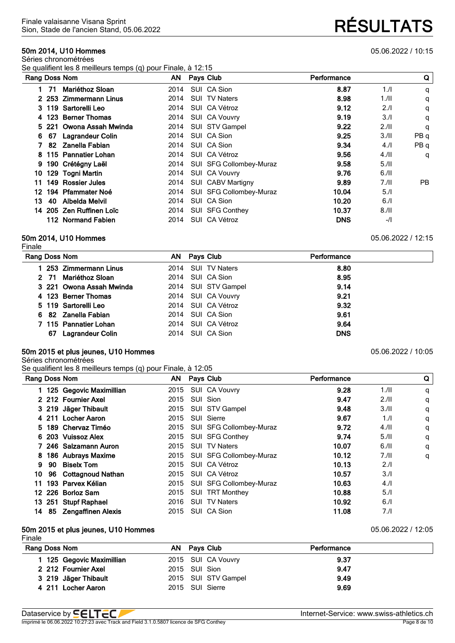#### **50m 2014, U10 Hommes** 05.06.2022 / 10:15

Séries chronométrées Se qualifient les 8 meilleurs temps (q) pour Finale, à 12:15

|     |                      |                                                                                                                                                                                                                                                                                  |              | Performance                                                                                                                                                                                                                                                                                                                |      | Q               |
|-----|----------------------|----------------------------------------------------------------------------------------------------------------------------------------------------------------------------------------------------------------------------------------------------------------------------------|--------------|----------------------------------------------------------------------------------------------------------------------------------------------------------------------------------------------------------------------------------------------------------------------------------------------------------------------------|------|-----------------|
| -71 | Mariéthoz Sloan      | 2014                                                                                                                                                                                                                                                                             |              | 8.87                                                                                                                                                                                                                                                                                                                       | 1.1  | q               |
|     |                      | 2014                                                                                                                                                                                                                                                                             |              | 8.98                                                                                                                                                                                                                                                                                                                       | 1.11 | q               |
|     |                      | 2014                                                                                                                                                                                                                                                                             |              | 9.12                                                                                                                                                                                                                                                                                                                       | 2.1  | q               |
|     | <b>Berner Thomas</b> | 2014                                                                                                                                                                                                                                                                             |              | 9.19                                                                                                                                                                                                                                                                                                                       | 3.1  | q               |
|     |                      | 2014                                                                                                                                                                                                                                                                             |              | 9.22                                                                                                                                                                                                                                                                                                                       | 2.11 | q               |
| 67  | Lagrandeur Colin     | 2014                                                                                                                                                                                                                                                                             |              | 9.25                                                                                                                                                                                                                                                                                                                       | 3/II | PB <sub>q</sub> |
| -82 |                      | 2014                                                                                                                                                                                                                                                                             |              | 9.34                                                                                                                                                                                                                                                                                                                       | 4.1  | PB <sub>q</sub> |
|     |                      | 2014                                                                                                                                                                                                                                                                             |              | 9.56                                                                                                                                                                                                                                                                                                                       | 4.11 | q               |
|     |                      |                                                                                                                                                                                                                                                                                  |              | 9.58                                                                                                                                                                                                                                                                                                                       | 5.11 |                 |
|     |                      | 2014                                                                                                                                                                                                                                                                             |              | 9.76                                                                                                                                                                                                                                                                                                                       | 6.11 |                 |
|     |                      | 2014                                                                                                                                                                                                                                                                             |              | 9.89                                                                                                                                                                                                                                                                                                                       | 7.11 | PB.             |
|     |                      | 2014                                                                                                                                                                                                                                                                             |              | 10.04                                                                                                                                                                                                                                                                                                                      | 5.1  |                 |
| 40  | Albelda Melvil       | 2014                                                                                                                                                                                                                                                                             |              | 10.20                                                                                                                                                                                                                                                                                                                      | 6.1  |                 |
|     |                      |                                                                                                                                                                                                                                                                                  |              | 10.37                                                                                                                                                                                                                                                                                                                      | 8.11 |                 |
|     |                      | 2014                                                                                                                                                                                                                                                                             |              | <b>DNS</b>                                                                                                                                                                                                                                                                                                                 | $-I$ |                 |
|     | 4<br>6<br>8<br>14    | Rang Doss Nom<br>2 253 Zimmermann Linus<br>3 119 Sartorelli Leo<br>123<br>Owona Assah Mwinda<br>5 221<br>Zanella Fabian<br>115 Pannatier Lohan<br>190 Crétégny Laël<br>129 Togni Martin<br>149 Rossier Jules<br>194 Pfammater Noé<br>205 Zen Ruffinen Loïc<br>112 Normand Fabien | 2014<br>2014 | AN Pays Club<br>SUI CA Sion<br><b>SUI TV Naters</b><br>SUI CA Vétroz<br><b>SUI CA Vouvry</b><br>SUI STV Gampel<br>SUI CA Sion<br>SUI CA Sion<br>SUI CA Vétroz<br>SUI SFG Collombey-Muraz<br>SUI CA Vouvry<br><b>SUI CABV Martigny</b><br>SUI SFG Collombey-Muraz<br>SUI CA Sion<br><b>SUI SFG Conthey</b><br>SUI CA Vétroz |      |                 |

#### **50m 2014, U10 Hommes** 05.06.2022 / 12:15

Finale

| Rang Doss Nom            | AN Pays Club        | Performance |  |
|--------------------------|---------------------|-------------|--|
| 253 Zimmermann Linus     | 2014 SUI TV Naters  | 8.80        |  |
| 2 71 Mariéthoz Sloan     | 2014 SUI CA Sion    | 8.95        |  |
| 3 221 Owona Assah Mwinda | 2014 SUI STV Gampel | 9.14        |  |
| 4 123 Berner Thomas      | 2014 SUI CA Vouvry  | 9.21        |  |
| 5 119 Sartorelli Leo     | 2014 SUI CA Vétroz  | 9.32        |  |
| 6 82 Zanella Fabian      | 2014 SUI CA Sion    | 9.61        |  |
| 7 115 Pannatier Lohan    | 2014 SUI CA Vétroz  | 9.64        |  |
| 67 Lagrandeur Colin      | 2014 SUI CA Sion    | <b>DNS</b>  |  |
|                          |                     |             |  |

#### **50m 2015 et plus jeunes, U10 Hommes** 05.06.2022 / 10:05

Séries chronométrées

Se qualifient les 8 meilleurs temps (q) pour Finale, à 12:05

| Rang Doss Nom |    | .                       |      | AN Pays Club                 | Performance |      | Q |
|---------------|----|-------------------------|------|------------------------------|-------------|------|---|
|               |    | 125 Gegovic Maximillian |      | 2015 SUI CA Vouvry           | 9.28        | 1.11 | q |
|               |    | 2 212 Fournier Axel     | 2015 | SUI Sion                     | 9.47        | 2.11 | q |
|               |    | 3 219 Jäger Thibault    |      | 2015 SUI STV Gampel          | 9.48        | 3.11 | q |
|               |    | 4 211 Locher Aaron      | 2015 | SUI Sierre                   | 9.67        | 1.1  | q |
|               |    | 5 189 Chervaz Timéo     |      | 2015 SUI SFG Collombey-Muraz | 9.72        | 4.11 | q |
|               |    | 6 203 Vuissoz Alex      | 2015 | SUI SFG Conthey              | 9.74        | 5.11 | q |
|               |    | 7 246 Salzamann Auron   | 2015 | <b>SUI TV Naters</b>         | 10.07       | 6.11 | q |
|               |    | 8 186 Aubrays Maxime    |      | 2015 SUI SFG Collombey-Muraz | 10.12       | 7.11 | q |
| 9             | 90 | <b>Biselx Tom</b>       | 2015 | SUI CA Vétroz                | 10.13       | 2.1  |   |
| 10            |    | 96 Cottagnoud Nathan    | 2015 | SUI CA Vétroz                | 10.57       | 3.1  |   |
| 11            |    | 193 Parvex Kélian       | 2015 | SUI SFG Collombey-Muraz      | 10.63       | 4.1  |   |
|               |    | 12 226 Borloz Sam       | 2015 | SUI TRT Monthey              | 10.88       | 5.1  |   |
|               |    | 13 251 Stupf Raphael    | 2016 | <b>SUI TV Naters</b>         | 10.92       | 6.1  |   |
| 14            | 85 | Zengaffinen Alexis      |      | 2015 SUI CA Sion             | 11.08       | 7./I |   |

#### **50m 2015 et plus jeunes, U10 Hommes** 05.06.2022 / 12:05

| Finale                    |                 |                     |             |  |
|---------------------------|-----------------|---------------------|-------------|--|
| Rang Doss Nom             | AN Pays Club    |                     | Performance |  |
| 1 125 Gegovic Maximillian |                 | 2015 SUI CA Vouvry  | 9.37        |  |
| 2 212 Fournier Axel       | 2015 SUI Sion   |                     | 9.47        |  |
| 3 219 Jäger Thibault      |                 | 2015 SUI STV Gampel | 9.49        |  |
| 4 211 Locher Aaron        | 2015 SUI Sierre |                     | 9.69        |  |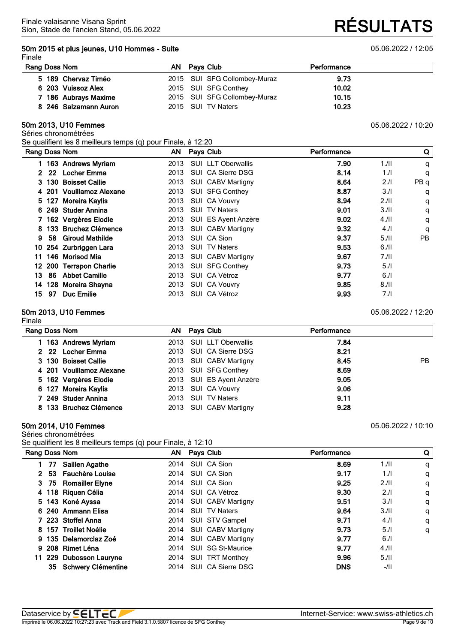#### **50m 2015 et plus jeunes, U10 Hommes - Suite** 05.06.2022 / 12:05

#### Finale

Sion, Stade de l'ancien Stand, 05.06.2022 **RÉSULTATS**

| Rang Doss Nom         | AN Pays Club                 | Performance |  |
|-----------------------|------------------------------|-------------|--|
| 5 189 Chervaz Timéo   | 2015 SUI SFG Collombey-Muraz | 9.73        |  |
| 6 203 Vuissoz Alex    | 2015 SUI SFG Conthey         | 10.02       |  |
| 7 186 Aubrays Maxime  | 2015 SUI SFG Collombey-Muraz | 10.15       |  |
| 8 246 Salzamann Auron | 2015 SUI TV Naters           | 10.23       |  |

#### **50m 2013, U10 Femmes** 05.06.2022 / 10:20

Séries chronométrées

Se qualifient les 8 meilleurs temps (q) pour Finale, à 12:20

|                | Rang Doss Nom |                          | AN   | Pays Club                      | Performance |      | Q               |
|----------------|---------------|--------------------------|------|--------------------------------|-------------|------|-----------------|
|                |               | 1 163 Andrews Myriam     | 2013 | <b>SUI LLT Oberwallis</b>      | 7.90        | 1.11 | q               |
| $\mathbf{2}^-$ | 22            | <b>Locher Emma</b>       | 2013 | SUI CA Sierre DSG              | 8.14        | 1/l  | q               |
| 3.             |               | 130 Boisset Callie       | 2013 | <b>SUI CABV Martigny</b>       | 8.64        | 2.1  | PB <sub>q</sub> |
|                |               | 4 201 Vouillamoz Alexane | 2013 | SUI SFG Conthey                | 8.87        | 3.1  | q               |
| 5.             | 127           | Moreira Kaylis           | 2013 | <b>SUI CA Vouvry</b>           | 8.94        | 2.11 | q               |
|                |               | 6 249 Studer Annina      | 2013 | <b>SUI TV Naters</b>           | 9.01        | 3.11 | q               |
|                |               | 7 162 Vergères Elodie    | 2013 | SUI ES Ayent Anzère            | 9.02        | 4.11 | q               |
| 8.             |               | 133 Bruchez Clémence     | 2013 | <b>SUI CABV Martigny</b>       | 9.32        | 4.1  | q               |
| 9              |               | 58 Giroud Mathilde       | 2013 | SUI CA Sion                    | 9.37        | 5.11 | <b>PB</b>       |
| 10             |               | 254 Zurbriggen Lara      | 2013 | <b>SUI TV Naters</b>           | 9.53        | 6.11 |                 |
| 11             |               | 146 Morisod Mia          | 2013 | <b>SUI CABV Martigny</b>       | 9.67        | 7.11 |                 |
| 12             |               | 200 Terrapon Charlie     | 2013 | <b>SUI SFG Conthey</b>         | 9.73        | 5.1  |                 |
| 13.            | 86            | <b>Abbet Camille</b>     | 2013 | SUI CA Vétroz                  | 9.77        | 6.1  |                 |
| 14             | 128           | Moreira Shayna           | 2013 | <b>CA Vouvry</b><br><b>SUI</b> | 9.85        | 8.11 |                 |
| 15.            | 97            | <b>Duc Emilie</b>        | 2013 | SUI CA Vétroz                  | 9.93        | 7./I |                 |

#### **50m 2013, U10 Femmes** 05.06.2022 / 12:20

| Finale                   |  |                          |             |     |
|--------------------------|--|--------------------------|-------------|-----|
| Rang Doss Nom            |  | AN Pays Club             | Performance |     |
| 163 Andrews Myriam       |  | 2013 SUI LLT Oberwallis  | 7.84        |     |
| 2 22 Locher Emma         |  | 2013 SUI CA Sierre DSG   | 8.21        |     |
| 3 130 Boisset Callie     |  | 2013 SUI CABV Martigny   | 8.45        | PB. |
| 4 201 Vouillamoz Alexane |  | 2013 SUI SFG Conthey     | 8.69        |     |
| 5 162 Vergères Elodie    |  | 2013 SUI ES Ayent Anzère | 9.05        |     |
| 6 127 Moreira Kaylis     |  | 2013 SUI CA Vouvry       | 9.06        |     |
| 7 249 Studer Annina      |  | 2013 SUI TV Naters       | 9.11        |     |
| 8 133 Bruchez Clémence   |  | 2013 SUI CABV Martigny   | 9.28        |     |

#### **50m 2014, U10 Femmes** 05.06.2022 / 10:10

Séries chronométrées

Se qualifient les 8 meilleurs temps (q) pour Finale, à 12:10

| Rang Doss Nom |    |                           |      | AN Pays Club             | Performance |      | Q |
|---------------|----|---------------------------|------|--------------------------|-------------|------|---|
|               | 77 | <b>Saillen Agathe</b>     | 2014 | SUI CA Sion              | 8.69        | 1.11 | q |
| 2.            |    | 53 Fauchère Louise        | 2014 | SUI CA Sion              | 9.17        | 1.1  | q |
|               |    | 3 75 Romailler Elyne      | 2014 | SUI CA Sion              | 9.25        | 2.11 | q |
|               |    | 4 118 Riquen Célia        | 2014 | SUI CA Vétroz            | 9.30        | 2.1  | q |
|               |    | 5 143 Koné Ayssa          |      | 2014 SUI CABV Martigny   | 9.51        | 3.1  | q |
|               |    | 6 240 Ammann Elisa        | 2014 | <b>SUI TV Naters</b>     | 9.64        | 3.11 | q |
|               |    | 7 223 Stoffel Anna        |      | 2014 SUI STV Gampel      | 9.71        | 4.1  | q |
|               |    | 8 157 Troillet Noélie     |      | 2014 SUI CABV Martigny   | 9.73        | 5.1  | q |
|               |    | 9 135 Delamorclaz Zoé     | 2014 | <b>SUI CABV Martigny</b> | 9.77        | 6.1  |   |
|               |    | 9 208 Rimet Léna          | 2014 | SUI SG St-Maurice        | 9.77        | 4.11 |   |
|               |    | 11 229 Dubosson Lauryne   |      | 2014 SUI TRT Monthey     | 9.96        | 5.11 |   |
|               | 35 | <b>Schwery Clémentine</b> | 2014 | SUI CA Sierre DSG        | <b>DNS</b>  | -/II |   |